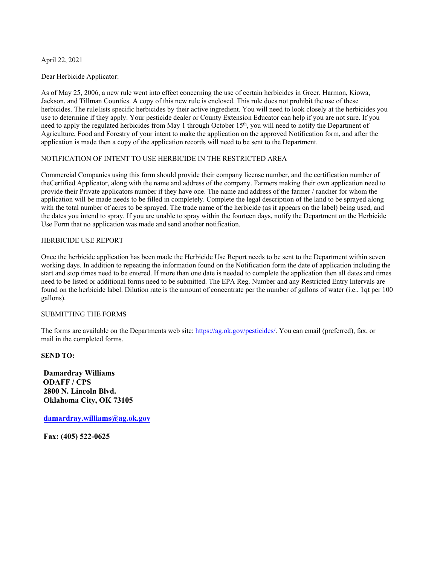### April 22, 2021

#### Dear Herbicide Applicator:

As of May 25, 2006, a new rule went into effect concerning the use of certain herbicides in Greer, Harmon, Kiowa, Jackson, and Tillman Counties. A copy of this new rule is enclosed. This rule does not prohibit the use of these herbicides. The rule lists specific herbicides by their active ingredient. You will need to look closely at the herbicides you use to determine if they apply. Your pesticide dealer or County Extension Educator can help if you are not sure. If you need to apply the regulated herbicides from May 1 through October 15<sup>th</sup>, you will need to notify the Department of Agriculture, Food and Forestry of your intent to make the application on the approved Notification form, and after the application is made then a copy of the application records will need to be sent to the Department.

### NOTIFICATION OF INTENT TO USE HERBICIDE IN THE RESTRICTED AREA

Commercial Companies using this form should provide their company license number, and the certification number of the Certified Applicator, along with the name and address of the company. Farmers making their own application need to provide their Private applicators number if they have one. The name and address of the farmer / rancher for whom the application will be made needs to be filled in completely. Complete the legal description of the land to be sprayed along with the total number of acres to be sprayed. The trade name of the herbicide (as it appears on the label) being used, and the dates you intend to spray. If you are unable to spray within the fourteen days, notify the Department on the Herbicide Use Form that no application was made and send another notification.

#### HERBICIDE USE REPORT

Once the herbicide application has been made the Herbicide Use Report needs to be sent to the Department within seven working days. In addition to repeating the information found on the Notification form the date of application including the start and stop times need to be entered. If more than one date is needed to complete the application then all dates and times need to be listed or additional forms need to be submitted. The EPA Reg. Number and any Restricted Entry Intervals are found on the herbicide label. Dilution rate is the amount of concentrate per the number of gallons of water (i.e., 1qt per 100 gallons).

### SUBMITTING THE FORMS

The forms are available on the Departments web site: https://ag.ok.gov/pesticides/. You can email (preferred), fax, or mail in the completed forms.

**SEND TO:** 

**Damardray Williams ODAFF / CPS 2800 N. Lincoln Blvd. Oklahoma City, OK 73105** 

**damardray.williams@ag.ok.gov**

**Fax: (405) 522-0625**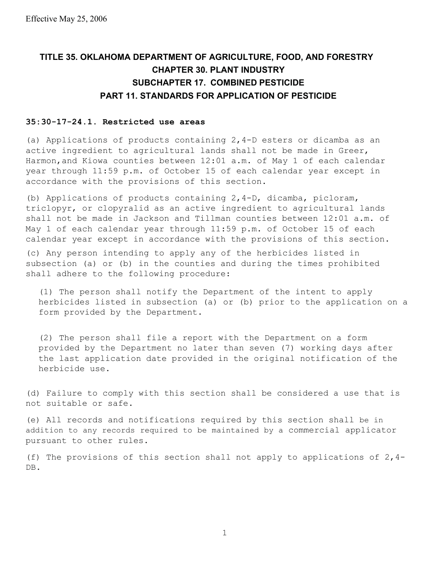### **TITLE 35. OKLAHOMA DEPARTMENT OF AGRICULTURE, FOOD, AND FORESTRY CHAPTER 30. PLANT INDUSTRY SUBCHAPTER 17. COMBINED PESTICIDE PART 11. STANDARDS FOR APPLICATION OF PESTICIDE**

### **35:30-17-24.1. Restricted use areas**

(a) Applications of products containing 2,4-D esters or dicamba as an active ingredient to agricultural lands shall not be made in Greer, Harmon, and Kiowa counties between 12:01 a.m. of May 1 of each calendar year through 11:59 p.m. of October 15 of each calendar year except in accordance with the provisions of this section.

(b) Applications of products containing 2,4-D, dicamba, picloram, triclopyr, or clopyralid as an active ingredient to agricultural lands shall not be made in Jackson and Tillman counties between 12:01 a.m. of May 1 of each calendar year through 11:59 p.m. of October 15 of each calendar year except in accordance with the provisions of this section.

(c) Any person intending to apply any of the herbicides listed in subsection (a) or (b) in the counties and during the times prohibited shall adhere to the following procedure:

(1) The person shall notify the Department of the intent to apply herbicides listed in subsection (a) or (b) prior to the application on a form provided by the Department.

(2) The person shall file a report with the Department on a form provided by the Department no later than seven (7) working days after the last application date provided in the original notification of the herbicide use.

(d) Failure to comply with this section shall be considered a use that is not suitable or safe.

(e) All records and notifications required by this section shall be in addition to any records required to be maintained by a commercial applicator pursuant to other rules.

(f) The provisions of this section shall not apply to applications of  $2,4$ -DB.

1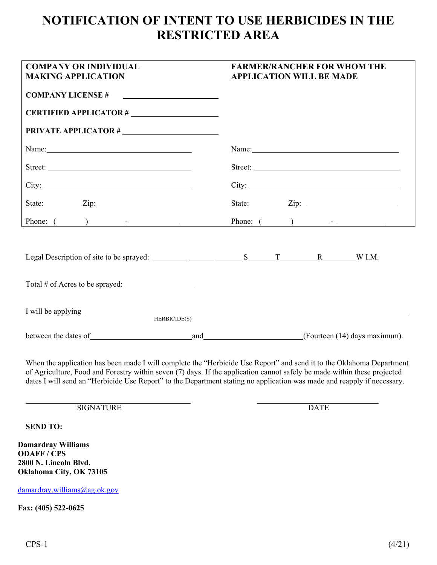# **NOTIFICATION OF INTENT TO USE HERBICIDES IN THE RESTRICTED AREA**

| <b>COMPANY OR INDIVIDUAL</b><br><b>MAKING APPLICATION</b>                                         | <b>FARMER/RANCHER FOR WHOM THE</b><br><b>APPLICATION WILL BE MADE</b>                                                                                                                                                                                                                                                                                                       |  |
|---------------------------------------------------------------------------------------------------|-----------------------------------------------------------------------------------------------------------------------------------------------------------------------------------------------------------------------------------------------------------------------------------------------------------------------------------------------------------------------------|--|
| <b>COMPANY LICENSE#</b>                                                                           |                                                                                                                                                                                                                                                                                                                                                                             |  |
|                                                                                                   |                                                                                                                                                                                                                                                                                                                                                                             |  |
| <b>PRIVATE APPLICATOR #</b>                                                                       |                                                                                                                                                                                                                                                                                                                                                                             |  |
|                                                                                                   | Name: Name and the set of the set of the set of the set of the set of the set of the set of the set of the set of the set of the set of the set of the set of the set of the set of the set of the set of the set of the set o                                                                                                                                              |  |
| Street:                                                                                           | Street:                                                                                                                                                                                                                                                                                                                                                                     |  |
|                                                                                                   |                                                                                                                                                                                                                                                                                                                                                                             |  |
|                                                                                                   |                                                                                                                                                                                                                                                                                                                                                                             |  |
|                                                                                                   |                                                                                                                                                                                                                                                                                                                                                                             |  |
| HERBICIDE(S)                                                                                      | I will be applying <u>example and the set of the set of the set of the set of the set of the set of the set of the set of the set of the set of the set of the set of the set of the set of the set of the set of the set of the</u>                                                                                                                                        |  |
|                                                                                                   |                                                                                                                                                                                                                                                                                                                                                                             |  |
|                                                                                                   | When the application has been made I will complete the "Herbicide Use Report" and send it to the Oklahoma Department<br>of Agriculture, Food and Forestry within seven (7) days. If the application cannot safely be made within these projected<br>dates I will send an "Herbicide Use Report" to the Department stating no application was made and reapply if necessary. |  |
| <b>SIGNATURE</b>                                                                                  | <b>DATE</b>                                                                                                                                                                                                                                                                                                                                                                 |  |
| <b>SEND TO:</b>                                                                                   |                                                                                                                                                                                                                                                                                                                                                                             |  |
| <b>Damardray Williams</b><br><b>ODAFF/CPS</b><br>2800 N. Lincoln Blvd.<br>Oklahoma City, OK 73105 |                                                                                                                                                                                                                                                                                                                                                                             |  |
| damardray.williams@ag.ok.gov                                                                      |                                                                                                                                                                                                                                                                                                                                                                             |  |
| Fax: (405) 522-0625                                                                               |                                                                                                                                                                                                                                                                                                                                                                             |  |